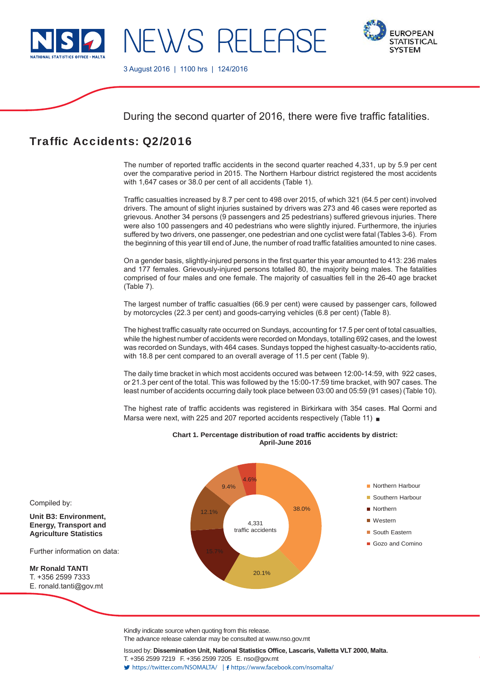

-WS RFI FAS



3 August 2016 | 1100 hrs | 124/2016

During the second quarter of 2016, there were five traffic fatalities.

# Traffic Accidents: Q2/2016

The number of reported traffic accidents in the second quarter reached 4,331, up by 5.9 per cent over the comparative period in 2015. The Northern Harbour district registered the most accidents with 1,647 cases or 38.0 per cent of all accidents (Table 1).

Traffic casualties increased by 8.7 per cent to 498 over 2015, of which 321 (64.5 per cent) involved drivers. The amount of slight injuries sustained by drivers was 273 and 46 cases were reported as grievous. Another 34 persons (9 passengers and 25 pedestrians) suffered grievous injuries. There were also 100 passengers and 40 pedestrians who were slightly injured. Furthermore, the injuries suffered by two drivers, one passenger, one pedestrian and one cyclist were fatal (Tables 3-6). From the beginning of this year till end of June, the number of road traffic fatalities amounted to nine cases.

On a gender basis, slightly-injured persons in the first quarter this year amounted to 413: 236 males and 177 females. Grievously-injured persons totalled 80, the majority being males. The fatalities comprised of four males and one female. The majority of casualties fell in the 26-40 age bracket (Table 7).

The largest number of traffic casualties (66.9 per cent) were caused by passenger cars, followed by motorcycles (22.3 per cent) and goods-carrying vehicles (6.8 per cent) (Table 8).

The highest traffic casualty rate occurred on Sundays, accounting for 17.5 per cent of total casualties, while the highest number of accidents were recorded on Mondays, totalling 692 cases, and the lowest was recorded on Sundays, with 464 cases. Sundays topped the highest casualty-to-accidents ratio, with 18.8 per cent compared to an overall average of 11.5 per cent (Table 9).

The daily time bracket in which most accidents occured was between 12:00-14:59, with 922 cases, or 21.3 per cent of the total. This was followed by the 15:00-17:59 time bracket, with 907 cases. The least number of accidents occurring daily took place between 03:00 and 05:59 (91 cases) (Table 10).

The highest rate of traffic accidents was registered in Birkirkara with 354 cases. Hal Qormi and Marsa were next, with 225 and 207 reported accidents respectively (Table 11)





Kindly indicate source when quoting from this release.

The advance release calendar may be consulted at www.nso.gov.mt

Issued by: Dissemination Unit, National Statistics Office, Lascaris, Valletta VLT 2000, Malta.

T. +356 2599 7219 F. +356 2599 7205 E. nso@gov.mt

https://twitter.com/NSOMALTA/ https://www.facebook.com/nsomalta/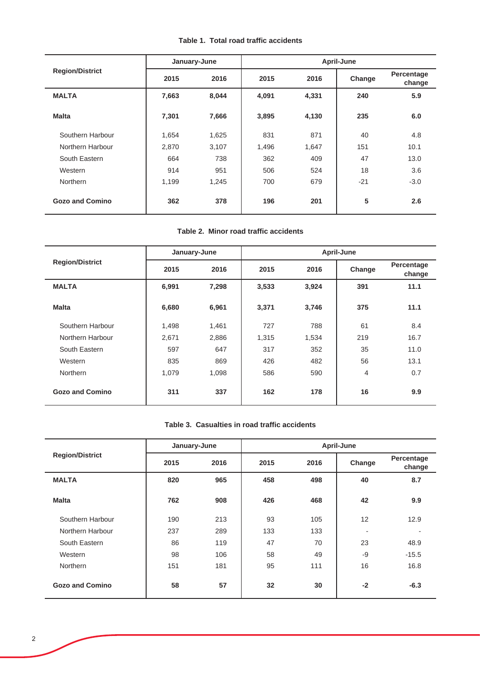### **Table 1. Total road traffic accidents**

|                        |              | January-June | April-June |       |        |                      |  |  |
|------------------------|--------------|--------------|------------|-------|--------|----------------------|--|--|
| <b>Region/District</b> | 2015<br>2016 |              | 2015       | 2016  | Change | Percentage<br>change |  |  |
| <b>MALTA</b>           | 7,663        | 8,044        | 4,091      | 4,331 | 240    | 5.9                  |  |  |
| <b>Malta</b>           | 7,301        | 7,666        | 3,895      | 4,130 | 235    | 6.0                  |  |  |
| Southern Harbour       | 1,654        | 1,625        | 831        | 871   | 40     | 4.8                  |  |  |
| Northern Harbour       | 2,870        | 3,107        | 1,496      | 1,647 | 151    | 10.1                 |  |  |
| South Eastern          | 664          | 738          | 362        | 409   | 47     | 13.0                 |  |  |
| Western                | 914          | 951          | 506        | 524   | 18     | 3.6                  |  |  |
| <b>Northern</b>        | 1,199        | 1,245        | 700        | 679   | $-21$  | $-3.0$               |  |  |
| <b>Gozo and Comino</b> | 362          | 378          | 196        | 201   | 5      | 2.6                  |  |  |

#### **Table 2. Minor road traffic accidents**

|                        |       | January-June | April-June |       |        |                      |  |  |
|------------------------|-------|--------------|------------|-------|--------|----------------------|--|--|
| <b>Region/District</b> | 2015  | 2016         | 2015       | 2016  | Change | Percentage<br>change |  |  |
| <b>MALTA</b>           | 6,991 | 7,298        | 3,533      | 3,924 | 391    | 11.1                 |  |  |
| <b>Malta</b>           | 6,680 | 6,961        | 3,371      | 3,746 | 375    | 11.1                 |  |  |
| Southern Harbour       | 1,498 | 1,461        | 727        | 788   | 61     | 8.4                  |  |  |
| Northern Harbour       | 2,671 | 2,886        | 1,315      | 1,534 | 219    | 16.7                 |  |  |
| South Eastern          | 597   | 647          | 317        | 352   | 35     | 11.0                 |  |  |
| Western                | 835   | 869          | 426        | 482   | 56     | 13.1                 |  |  |
| <b>Northern</b>        | 1,079 | 1,098        | 586        | 590   | 4      | 0.7                  |  |  |
| <b>Gozo and Comino</b> | 311   | 337          | 162        | 178   | 16     | 9.9                  |  |  |

#### **Table 3. Casualties in road traffic accidents**

|                        | January-June |      | April-June |      |                |                      |  |  |
|------------------------|--------------|------|------------|------|----------------|----------------------|--|--|
| <b>Region/District</b> | 2015         | 2016 | 2015       | 2016 | Change         | Percentage<br>change |  |  |
| <b>MALTA</b>           | 820          | 965  | 458        | 498  | 40             | 8.7                  |  |  |
| <b>Malta</b>           | 762          | 908  | 426        | 468  | 42             | 9.9                  |  |  |
| Southern Harbour       | 190          | 213  | 93         | 105  | 12             | 12.9                 |  |  |
| Northern Harbour       | 237          | 289  | 133        | 133  | $\blacksquare$ |                      |  |  |
| South Eastern          | 86           | 119  | 47         | 70   | 23             | 48.9                 |  |  |
| Western                | 98           | 106  | 58         | 49   | $-9$           | $-15.5$              |  |  |
| <b>Northern</b>        | 151          | 181  | 95         | 111  | 16             | 16.8                 |  |  |
| <b>Gozo and Comino</b> | 58           | 57   | 32         | 30   | $-2$           | $-6.3$               |  |  |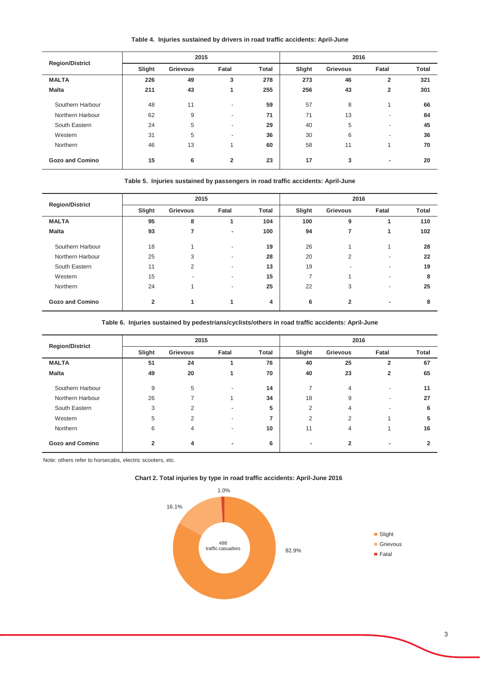#### **Table 4. Injuries sustained by drivers in road traffic accidents: April-June**

| <b>Region/District</b> |        | 2015            |                          |              | 2016   |                 |                          |              |
|------------------------|--------|-----------------|--------------------------|--------------|--------|-----------------|--------------------------|--------------|
|                        | Slight | <b>Grievous</b> | Fatal                    | <b>Total</b> | Slight | <b>Grievous</b> | Fatal                    | <b>Total</b> |
| <b>MALTA</b>           | 226    | 49              | 3                        | 278          | 273    | 46              | $\overline{2}$           | 321          |
| <b>Malta</b>           | 211    | 43              |                          | 255          | 256    | 43              | 2                        | 301          |
| Southern Harbour       | 48     | 11              | $\overline{\phantom{a}}$ | 59           | 57     | 8               | $\overline{A}$           | 66           |
| Northern Harbour       | 62     | 9               | $\overline{\phantom{a}}$ | 71           | 71     | 13              | $\overline{\phantom{a}}$ | 84           |
| South Eastern          | 24     | 5               | $\overline{\phantom{a}}$ | 29           | 40     | 5               | ٠                        | 45           |
| Western                | 31     | 5               | $\overline{\phantom{a}}$ | 36           | 30     | 6               | $\overline{\phantom{0}}$ | 36           |
| Northern               | 46     | 13              |                          | 60           | 58     | 11              |                          | 70           |
| <b>Gozo and Comino</b> | 15     | 6               | $\overline{2}$           | 23           | 17     | 3               | ٠                        | 20           |

**Table 5. Injuries sustained by passengers in road traffic accidents: April-June**

| <b>Region/District</b> | 2015           |                          |                          |              | 2016           |                          |                          |              |
|------------------------|----------------|--------------------------|--------------------------|--------------|----------------|--------------------------|--------------------------|--------------|
|                        | Slight         | <b>Grievous</b>          | Fatal                    | <b>Total</b> | Slight         | <b>Grievous</b>          | Fatal                    | <b>Total</b> |
| <b>MALTA</b>           | 95             | 8                        |                          | 104          | 100            | 9                        |                          | 110          |
| <b>Malta</b>           | 93             | 7                        | ٠                        | 100          | 94             |                          |                          | 102          |
| Southern Harbour       | 18             |                          | $\overline{\phantom{a}}$ | 19           | 26             | 1                        |                          | 28           |
| Northern Harbour       | 25             | 3                        | $\overline{\phantom{a}}$ | 28           | 20             | $\overline{2}$           | ٠                        | 22           |
| South Eastern          | 11             | $\overline{2}$           | $\overline{\phantom{a}}$ | 13           | 19             | $\overline{\phantom{a}}$ | $\overline{\phantom{a}}$ | 19           |
| Western                | 15             | $\overline{\phantom{a}}$ | $\overline{\phantom{a}}$ | 15           | $\overline{7}$ | $\overline{\mathbf{A}}$  | $\overline{\phantom{a}}$ | 8            |
| Northern               | 24             | 4                        | $\overline{\phantom{a}}$ | 25           | 22             | 3                        | $\overline{\phantom{a}}$ | 25           |
| <b>Gozo and Comino</b> | $\overline{2}$ | 1                        | 4                        | 4            | 6              | $\mathbf{2}$             | $\blacksquare$           | 8            |

**Table 6. Injuries sustained by pedestrians/cyclists/others in road traffic accidents: April-June**

| <b>Region/District</b> |                | 2015            |                          |              | 2016           |                |                            |              |
|------------------------|----------------|-----------------|--------------------------|--------------|----------------|----------------|----------------------------|--------------|
|                        | Slight         | <b>Grievous</b> | Fatal                    | <b>Total</b> | Slight         | Grievous       | Fatal                      | <b>Total</b> |
| <b>MALTA</b>           | 51             | 24              |                          | 76           | 40             | 25             | $\overline{2}$             | 67           |
| <b>Malta</b>           | 49             | 20              | 1                        | 70           | 40             | 23             | $\overline{2}$             | 65           |
| Southern Harbour       | 9              | 5               | $\overline{\phantom{a}}$ | 14           | $\overline{ }$ | 4              | ٠                          | 11           |
| Northern Harbour       | 26             | $\overline{ }$  |                          | 34           | 18             | 9              | $\overline{\phantom{a}}$   | 27           |
| South Eastern          | 3              | $\overline{2}$  | $\overline{\phantom{a}}$ | 5            | 2              | 4              | $\overline{\phantom{0}}$   | 6            |
| Western                | 5              | $\overline{2}$  | $\overline{\phantom{a}}$ | ⇁            | $\overline{2}$ | $\overline{2}$ |                            | 5            |
| Northern               | 6              | 4               | $\overline{\phantom{a}}$ | 10           | 11             | 4              | $\boldsymbol{\mathcal{A}}$ | 16           |
| <b>Gozo and Comino</b> | $\overline{2}$ | 4               | ۰                        | 6            |                | $\overline{2}$ | ۰                          | 2            |

Note: others refer to horsecabs, electric scooters, etc.

**Chart 2. Total injuries by type in road traffic accidents: April-June 2016** 

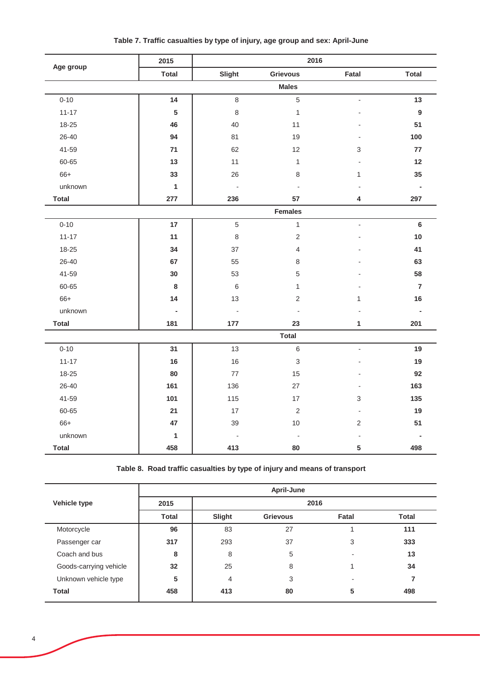|              | 2015           |                          | 2016                     |                          |                |
|--------------|----------------|--------------------------|--------------------------|--------------------------|----------------|
| Age group    | <b>Total</b>   | Slight                   | <b>Grievous</b>          | Fatal                    | <b>Total</b>   |
|              |                |                          | <b>Males</b>             |                          |                |
| $0 - 10$     | 14             | 8                        | 5                        |                          | 13             |
| $11 - 17$    | $\overline{5}$ | 8                        | $\mathbf{1}$             |                          | $\overline{9}$ |
| 18-25        | 46             | 40                       | 11                       |                          | 51             |
| $26 - 40$    | 94             | 81                       | 19                       |                          | 100            |
| 41-59        | 71             | 62                       | 12                       | 3                        | 77             |
| 60-65        | 13             | 11                       | $\mathbf{1}$             |                          | 12             |
| $66+$        | 33             | 26                       | $\,8\,$                  | $\mathbf{1}$             | 35             |
| unknown      | 1              | $\overline{\phantom{a}}$ | ÷,                       |                          | $\blacksquare$ |
| <b>Total</b> | 277            | 236                      | 57                       | 4                        | 297            |
|              |                |                          | <b>Females</b>           |                          |                |
| $0 - 10$     | $17$           | $\sqrt{5}$               | $\mathbf{1}$             | $\overline{\phantom{a}}$ | $\bf 6$        |
| $11 - 17$    | 11             | $\,8\,$                  | $\sqrt{2}$               |                          | $10$           |
| 18-25        | 34             | 37                       | $\overline{4}$           |                          | 41             |
| $26 - 40$    | 67             | 55                       | $\,8\,$                  |                          | 63             |
| 41-59        | 30             | 53                       | $\mathbf 5$              |                          | 58             |
| 60-65        | $\bf8$         | $\,6\,$                  | $\mathbf{1}$             |                          | $\overline{7}$ |
| $66+$        | 14             | 13                       | $\overline{2}$           | $\mathbf{1}$             | 16             |
| unknown      | ä,             | $\overline{\phantom{a}}$ |                          |                          | $\blacksquare$ |
| <b>Total</b> | 181            | 177                      | 23                       | 1                        | 201            |
|              |                |                          | <b>Total</b>             |                          |                |
| $0 - 10$     | 31             | 13                       | $\,6$                    | L,                       | 19             |
| $11 - 17$    | 16             | 16                       | $\sqrt{3}$               |                          | 19             |
| 18-25        | 80             | $77\,$                   | 15                       |                          | 92             |
| $26 - 40$    | 161            | 136                      | 27                       | $\overline{a}$           | 163            |
| 41-59        | 101            | 115                      | 17                       | 3                        | 135            |
| 60-65        | 21             | 17                       | $\sqrt{2}$               |                          | 19             |
| $66+$        | 47             | 39                       | $10$                     | $\sqrt{2}$               | 51             |
| unknown      | 1              | $\overline{\phantom{a}}$ | $\overline{\phantom{a}}$ |                          | $\blacksquare$ |
| <b>Total</b> | 458            | 413                      | 80                       | $\overline{\mathbf{5}}$  | 498            |

## **Table 7. Traffic casualties by type of injury, age group and sex: April-June**

**Table 8. Road traffic casualties by type of injury and means of transport**

|                        | April-June   |        |                 |              |              |  |  |  |  |
|------------------------|--------------|--------|-----------------|--------------|--------------|--|--|--|--|
| Vehicle type           | 2015         | 2016   |                 |              |              |  |  |  |  |
|                        | <b>Total</b> | Slight | <b>Grievous</b> | <b>Fatal</b> | <b>Total</b> |  |  |  |  |
| Motorcycle             | 96           | 83     | 27              |              | 111          |  |  |  |  |
| Passenger car          | 317          | 293    | 37              | 3            | 333          |  |  |  |  |
| Coach and bus          | 8            | 8      | 5               |              | 13           |  |  |  |  |
| Goods-carrying vehicle | 32           | 25     | 8               |              | 34           |  |  |  |  |
| Unknown vehicle type   | 5            | 4      | 3               |              |              |  |  |  |  |
| <b>Total</b>           | 458          | 413    | 80              | 5            | 498          |  |  |  |  |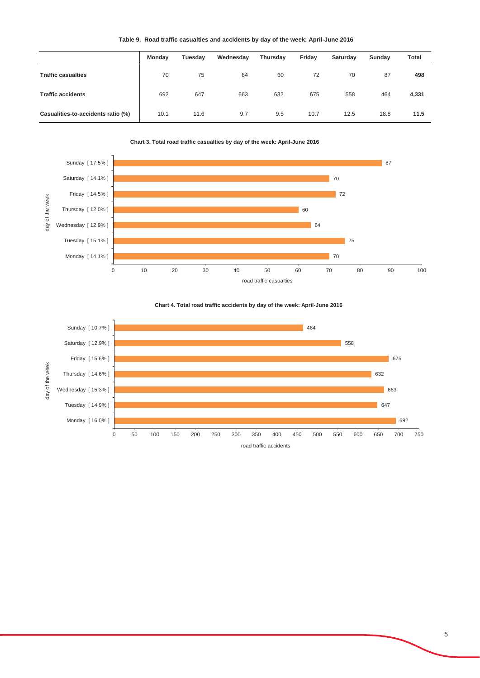|  |  |  |  |  |  | Table 9. Road traffic casualties and accidents by day of the week: April-June 2016 |  |
|--|--|--|--|--|--|------------------------------------------------------------------------------------|--|
|--|--|--|--|--|--|------------------------------------------------------------------------------------|--|

|                                    | <b>Monday</b> | Tuesday | Wednesday | Thursday | Friday | Saturday | Sunday | Total |
|------------------------------------|---------------|---------|-----------|----------|--------|----------|--------|-------|
| <b>Traffic casualties</b>          | 70            | 75      | 64        | 60       | 72     | 70       | 87     | 498   |
| <b>Traffic accidents</b>           | 692           | 647     | 663       | 632      | 675    | 558      | 464    | 4,331 |
| Casualities-to-accidents ratio (%) | 10.1          | 11.6    | 9.7       | 9.5      | 10.7   | 12.5     | 18.8   | 11.5  |

**Chart 3. Total road traffic casualties by day of the week: April-June 2016**





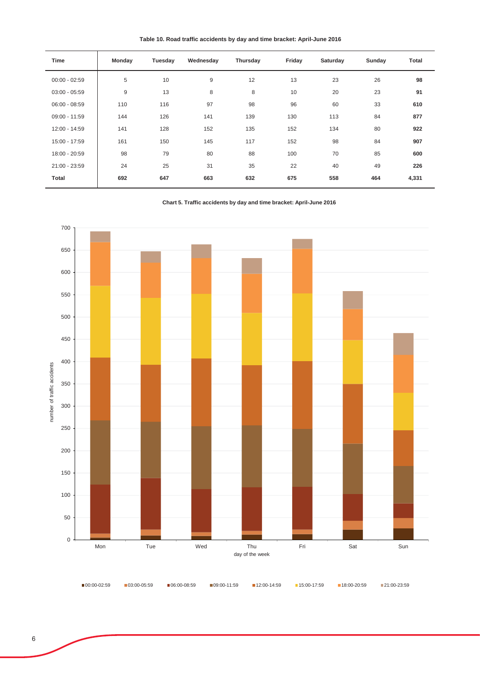**Table 10. Road traffic accidents by day and time bracket: April-June 2016**

| Time            | Monday | Tuesday | Wednesday | Thursday | Friday | Saturday | Sunday | <b>Total</b> |
|-----------------|--------|---------|-----------|----------|--------|----------|--------|--------------|
| $00:00 - 02:59$ | 5      | 10      | 9         | 12       | 13     | 23       | 26     | 98           |
| $03:00 - 05:59$ | $9\,$  | 13      | 8         | 8        | 10     | 20       | 23     | 91           |
| $06:00 - 08:59$ | 110    | 116     | 97        | 98       | 96     | 60       | 33     | 610          |
| $09:00 - 11:59$ | 144    | 126     | 141       | 139      | 130    | 113      | 84     | 877          |
| 12:00 - 14:59   | 141    | 128     | 152       | 135      | 152    | 134      | 80     | 922          |
| 15:00 - 17:59   | 161    | 150     | 145       | 117      | 152    | 98       | 84     | 907          |
| 18:00 - 20:59   | 98     | 79      | 80        | 88       | 100    | 70       | 85     | 600          |
| $21:00 - 23:59$ | 24     | 25      | 31        | 35       | 22     | 40       | 49     | 226          |
| Total           | 692    | 647     | 663       | 632      | 675    | 558      | 464    | 4,331        |

#### **Chart 5. Traffic accidents by day and time bracket: April-June 2016**



00:00-02:59 ■03:00-05:59 ■06:00-08:59 ■09:00-11:59 ■12:00-14:59 ■15:00-17:59 ■18:00-20:59 ■21:00-23:59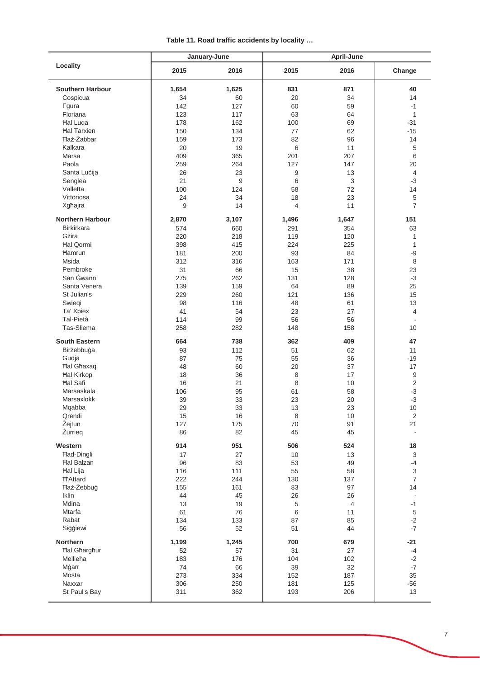|  |  |  | Table 11. Road traffic accidents by locality |  |  |  |
|--|--|--|----------------------------------------------|--|--|--|
|--|--|--|----------------------------------------------|--|--|--|

|                            | January-June |           | April-June |                |                           |  |
|----------------------------|--------------|-----------|------------|----------------|---------------------------|--|
| Locality                   | 2015         | 2016      | 2015       | 2016           | Change                    |  |
| <b>Southern Harbour</b>    | 1,654        | 1,625     | 831        | 871            | 40                        |  |
| Cospicua                   | 34           | 60        | 20         | 34             | 14                        |  |
| Fgura                      | 142          | 127       | 60         | 59             | $-1$                      |  |
| Floriana                   | 123          | 117       | 63         | 64             | 1                         |  |
| <b>Hal Luga</b>            | 178          | 162       | 100        | 69             | $-31$                     |  |
| <b>Hal Tarxien</b>         | 150          | 134       | 77         | 62             | $-15$                     |  |
| Haż-Żabbar                 | 159          | 173       | 82         | 96             | 14                        |  |
| Kalkara                    | 20           | 19        | 6          | 11             | $\,$ 5 $\,$               |  |
| Marsa                      | 409          | 365       | 201        | 207            | 6                         |  |
| Paola                      | 259          | 264       | 127        | 147            | 20                        |  |
| Santa Lucija               | 26           | 23        | 9          | 13             | $\overline{4}$            |  |
| Senglea                    | 21           | 9         | 6          | 3              | $-3$                      |  |
| Valletta                   | 100          | 124       | 58         | 72             | 14                        |  |
| Vittoriosa                 | 24           | 34        | 18         | 23             | $\,$ 5 $\,$               |  |
| Xgħajra                    | 9            | 14        | 4          | 11             | $\overline{7}$            |  |
|                            |              |           |            |                |                           |  |
| <b>Northern Harbour</b>    | 2,870        | 3,107     | 1,496      | 1,647          | 151                       |  |
| <b>Birkirkara</b>          | 574          | 660       | 291        | 354            | 63                        |  |
| Gżira                      | 220          | 218       | 119        | 120            | $\mathbf{1}$              |  |
| <b>Hal Qormi</b>           | 398          | 415       | 224        | 225            | 1                         |  |
| Hamrun                     | 181          | 200       | 93         | 84             | $-9$                      |  |
| Msida                      | 312          | 316       | 163        | 171            | $\,8\,$                   |  |
| Pembroke                   | 31           | 66        | 15         | 38             | 23                        |  |
| San Gwann                  | 275          | 262       | 131        | 128            | $-3$                      |  |
| Santa Venera               | 139          | 159       | 64         | 89             | 25                        |  |
| St Julian's                | 229          | 260       | 121        | 136            | 15                        |  |
| Swiegi                     | 98           | 116       | 48         | 61             | 13                        |  |
| Ta' Xbiex                  | 41           | 54        | 23         | 27             | $\overline{4}$            |  |
| Tal-Pietà                  | 114          | 99        | 56         | 56             |                           |  |
| Tas-Sliema                 | 258          | 282       | 148        | 158            | 10                        |  |
| <b>South Eastern</b>       | 664          | 738       | 362        | 409            | 47                        |  |
|                            | 93           |           | 51         | 62             | 11                        |  |
| Birżebbuġa                 | 87           | 112<br>75 | 55         | 36             | $-19$                     |  |
| Gudja<br><b>Hal Ghaxaq</b> | 48           | 60        | 20         | 37             | 17                        |  |
| <b>Hal Kirkop</b>          | 18           | 36        | 8          | 17             | 9                         |  |
| <b>Hal Safi</b>            | 16           | 21        | $\,8\,$    | 10             | $\overline{2}$            |  |
| Marsaskala                 | 106          | 95        | 61         | 58             | $-3$                      |  |
| Marsaxlokk                 | 39           | 33        | 23         | 20             | $-3$                      |  |
| Mqabba                     | 29           | 33        | 13         | 23             | 10                        |  |
| Qrendi                     | 15           | 16        | $\,8\,$    | 10             | $\sqrt{2}$                |  |
| Żejtun                     | 127          | 175       | 70         | 91             | 21                        |  |
| Żurrieg                    | 86           | 82        | 45         | 45             |                           |  |
|                            |              |           |            |                |                           |  |
| Western                    | 914          | 951       | 506        | 524            | 18                        |  |
| Had-Dingli                 | 17           | 27        | 10         | 13             | $\ensuremath{\mathsf{3}}$ |  |
| <b>Hal Balzan</b>          | 96           | 83        | 53         | 49             | $-4$                      |  |
| <b>Hal Lija</b>            | 116          | 111       | 55         | 58             | $\ensuremath{\mathsf{3}}$ |  |
| <b>Ħ'Attard</b>            | 222          | 244       | 130        | 137            | $\overline{7}$            |  |
| Haż-Żebbuġ                 | 155          | 161       | 83         | 97             | 14                        |  |
| Iklin                      | 44           | 45        | 26         | 26             | $\blacksquare$            |  |
| Mdina                      | 13           | 19        | 5          | $\overline{4}$ | $-1$                      |  |
| Mtarfa                     | 61           | 76        | 6          | 11             | $\sqrt{5}$                |  |
| Rabat                      | 134          | 133       | 87         | 85             | $-2$                      |  |
| Siģģiewi                   | 56           | 52        | 51         | 44             | $-7$                      |  |
| <b>Northern</b>            | 1,199        | 1,245     | 700        | 679            | $-21$                     |  |
| <b>Hal Gharghur</b>        | 52           | 57        | 31         | 27             | $-4$                      |  |
| Mellieħa                   | 183          | 176       | 104        | 102            | $-2$                      |  |
| Mġarr                      | 74           | 66        | 39         | 32             | $-7$                      |  |
| Mosta                      | 273          | 334       | 152        | 187            | 35                        |  |
| Naxxar                     | 306          | 250       | 181        | 125            | $-56$                     |  |
| St Paul's Bay              | 311          | 362       | 193        | 206            | 13                        |  |
|                            |              |           |            |                |                           |  |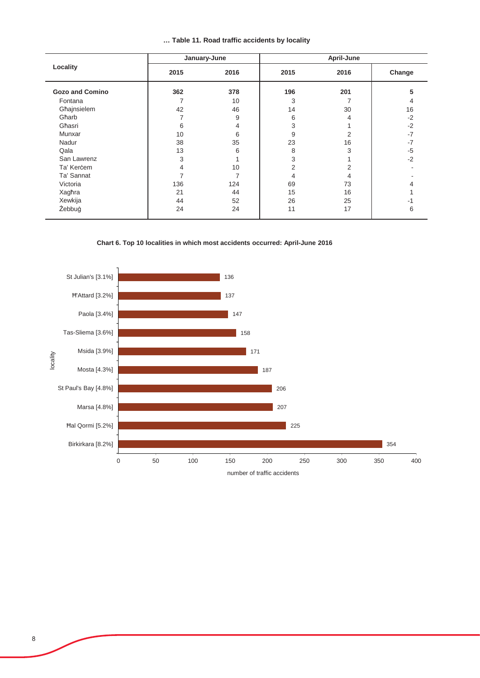|  |  |  |  |  | Table 11. Road traffic accidents by locality |  |  |
|--|--|--|--|--|----------------------------------------------|--|--|
|--|--|--|--|--|----------------------------------------------|--|--|

| Locality               | January-June   |      | April-June |      |        |
|------------------------|----------------|------|------------|------|--------|
|                        | 2015           | 2016 | 2015       | 2016 | Change |
| <b>Gozo and Comino</b> | 362            | 378  | 196        | 201  | 5      |
| Fontana                | 7              | 10   | 3          |      | 4      |
| Għajnsielem            | 42             | 46   | 14         | 30   | 16     |
| Għarb                  |                | 9    | 6          | 4    | $-2$   |
| Għasri                 | 6              | 4    | 3          |      | $-2$   |
| Munxar                 | 10             | 6    | 9          | 2    | $-7$   |
| Nadur                  | 38             | 35   | 23         | 16   | $-7$   |
| Qala                   | 13             | 6    | 8          | 3    | $-5$   |
| San Lawrenz            | 3              |      | 3          |      | $-2$   |
| Ta' Kercem             | 4              | 10   | 2          | 2    |        |
| Ta' Sannat             | $\overline{7}$ |      | 4          | 4    |        |
| Victoria               | 136            | 124  | 69         | 73   |        |
| Xagħra                 | 21             | 44   | 15         | 16   |        |
| Xewkija                | 44             | 52   | 26         | 25   |        |
| Żebbuġ                 | 24             | 24   | 11         | 17   | 6      |